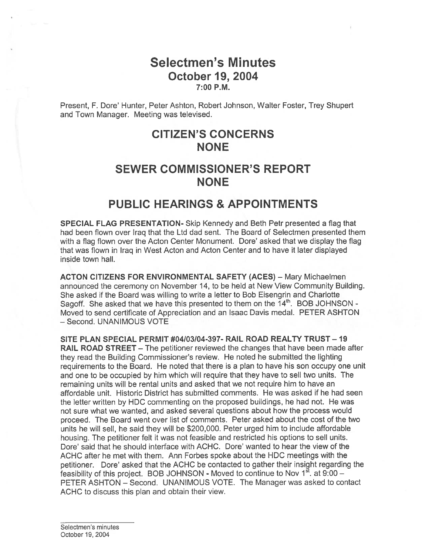## Selectmen's Minutes October 19, 2004 7:00 P.M.

Present, F. Dore' Hunter, Peter Ashton, Robert Johnson, Walter Foster, Trey Shupert and Town Manager. Meeting was televised.

# CITIZEN'S CONCERNS **NONE**

# SEWER COMMISSIONER'S REPORT NONE

## PUBLIC HEARINGS & APPOINTMENTS

SPECIAL FLAG PRESENTATION- Skip Kennedy and Beth Petr presented <sup>a</sup> flag that had been flown over Iraq that the Ltd dad sent. The Board of Selectmen presented them with <sup>a</sup> flag flown over the Acton Center Monument. Dore' asked that we display the flag that was flown in Iraq in West Acton and Acton Center and to have it later displayed inside town hall.

ACTON CITIZENS FOR ENVIRONMENTAL SAFETY (ACES) - Mary Michaelmen announced the ceremony on November 14, to be held at New View Community Building. She asked if the Board was willing to write <sup>a</sup> letter to Bob Eisengrin and Charlotte Sagoff. She asked that we have this presented to them on the  $14<sup>th</sup>$ . BOB JOHNSON -Moved to send certificate of Appreciation and an Isaac Davis medal. PETER ASHTON — Second. UNANIMOUS VOTE

SITE PLAN SPECIAL PERMIT #04/03/04-397- RAIL ROAD REALTY TRUST —19 RAIL ROAD STREET – The petitioner reviewed the changes that have been made after they read the Building Commissioner's review. He noted he submitted the lighting requirements to the Board. He noted that there is <sup>a</sup> plan to have his son occupy one unit and one to be occupied by him which will require that they have to sell two units. The remaining units will be rental units and asked that we not require him to have an affordable unit. Historic District has submitted comments. He was asked if he had seen the letter written by HDC commenting on the proposed buildings, he had not. He was not sure what we wanted, and asked several questions about how the process would proceed. The Board went over list of comments. Peter asked about the cost of the two units he will sell, he said they will be \$200,000. Peter urged him to include affordable housing. The petitioner felt it was not feasible and restricted his options to sell units. Dore' said that he should interface with ACHC. Dore' wanted to hear the view of the ACHC after he met with them. Ann Forbes spoke about the HDC meetings with the petitioner. Dore' asked that the ACHC be contacted to gather their insight regarding the feasibility of this project. BOB JOHNSON - Moved to continue to Nov  $1^{st}$ . at 9:00 – PETER ASHTON — Second. UNANIMOUS VOTE. The Manager was asked to contact ACHC to discuss this plan and obtain their view.

Selectmen's minutes October 19, 2004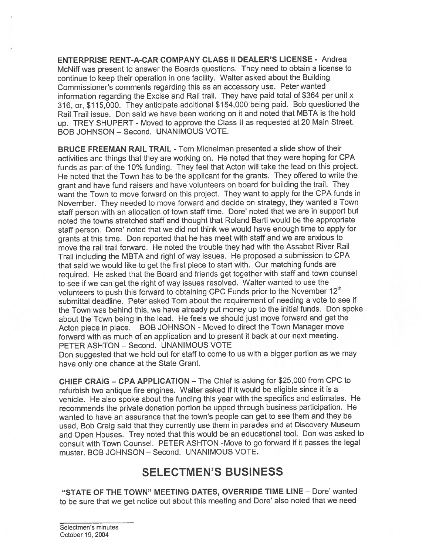ENTERPRISE RENT-A-CAR COMPANY CLASS II DEALER'S LICENSE - Andrea McNiff was presen<sup>t</sup> to answer the Boards questions. They need to obtain <sup>a</sup> license to continue to keep their operation in one facility. Walter asked about the Building Commissioner's comments regarding this as an accessory use. Peter wanted information regarding the Excise and Rail trail. They have paid total of \$364 per unit <sup>x</sup> 316, or, \$115,000. They anticipate additional \$154,000 being paid. Bob questioned the Rail Trail issue. Don said we have been working on it and noted that MBTA is the hold up. TREY SHUPERT - Moved to approve the Class II as requested at 20 Main Street. BOB JOHNSON — Second. UNANIMOUS VOTE.

BRUCE FREEMAN RAIL TRAIL - Tom Michelman presented <sup>a</sup> slide show of their activities and things that they are working on. He noted that they were hoping for CPA funds as par<sup>t</sup> of the 10% funding. They feel that Acton will take the lead on this project. He noted that the Town has to be the applicant for the grants. They offered to write the gran<sup>t</sup> and have fund raisers and have volunteers on board for building the trail. They want the Town to move forward on this project. They want to apply for the CPA funds in November. They needed to move forward and decide on strategy, they wanted <sup>a</sup> Town staff person with an allocation of town staff time. Dore' noted that we are in support but noted the towns stretched staff and thought that Roland Bartl would be the appropriate staff person. Dore' noted that we did not think we would have enough time to apply for grants at this time. Don reported that he has meet with staff and we are anxious to move the rail trail forward. He noted the trouble they had with the Assabet River Rail Trail including the MBTA and right of way issues. He propose<sup>d</sup> <sup>a</sup> submission to CPA that said we would like to ge<sup>t</sup> the first <sup>p</sup>iece to start with. Our matching funds are required. He asked that the Board and friends ge<sup>t</sup> together with staff and town counsel to see if we can ge<sup>t</sup> the right of way issues resolved. Walter wanted to use the volunteers to push this forward to obtaining CPC Funds prior to the November 12<sup>th</sup> submittal deadline. Peter asked Tom about the requirement of needing <sup>a</sup> vote to see if the Town was behind this, we have already pu<sup>t</sup> money up to the initial funds. Don spoke about the Town being in the lead. He feels we should just move forward and ge<sup>t</sup> the Acton <sup>p</sup>iece in <sup>p</sup>lace. BOB JOHNSON - Moved to direct the Town Manager move forward with as much of an application and to present it back at our next meeting. PETER ASHTON — Second. UNANIMOUS VOTE

Don suggested that we hold out for staff to come to us with <sup>a</sup> bigger portion as we may have only one chance at the State Grant.

CHIEF CRAIG — CPA APPLICATION — The Chief is asking for \$25,000 from CPC to refurbish two antique fire engines. Walter asked if it would be eligible since it is <sup>a</sup> vehicle. He also spoke about the funding this year with the specifics and estimates. He recommends the private donation portion be uppe<sup>d</sup> through business participation. He wanted to have an assurance that the town's people can ge<sup>t</sup> to see them and they be used, Bob Craig said that they currently use them in parades and at Discovery Museum and Open Houses. Trey noted that this would be an educational tool. Don was asked to consult with Town Counsel. PETER ASHTON -Move to go forward if it passes the legal muster. BOB JOHNSON — Second. UNANIMOUS VOTE.

## SELECTMEN'S BUSINESS

"STATE OF THE TOWN" MEETING DATES, OVERRIDE TIME LINE — Dore' wanted to be sure that we get notice out about this meeting and Dore' also noted that we need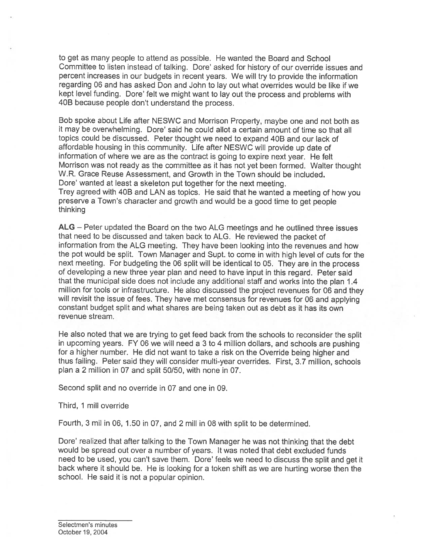to ge<sup>t</sup> as many people to attend as possible. He wanted the Board and School Committee to listen instead of talking. Dore' asked for history of our override issues and percen<sup>t</sup> increases in our budgets in recent years. We will try to provide the information regarding 06 and has asked Don and John to lay out what overrides would be like if we kept level funding. Dore' felt we might want to lay out the process and problems with 4DB because people don't understand the process.

Bob spoke about Life after NESWC and Morrison Property, maybe one and not both as it may be overwhelming. Dore' said he could allot <sup>a</sup> certain amount of time so that all topics could be discussed. Peter thought we need to expand 4DB and our lack of affordable housing in this community. Life after NESWC will provide up date of information of where we are as the contract is going to expire next year. He felt Morrison was not ready as the committee as it has not ye<sup>t</sup> been formed. Walter thought W.R. Grace Reuse Assessment, and Growth in the Town should be included. Dore' wanted at least <sup>a</sup> skeleton pu<sup>t</sup> together for the next meeting. Trey agree<sup>d</sup> with 40B and LAN as topics. He said that he wanted <sup>a</sup> meeting of how you preserve <sup>a</sup> Town's character and growth and would be <sup>a</sup> good time to ge<sup>t</sup> people thinking

ALG — Peter updated the Board on the two ALG meetings and he outlined three issues that need to be discussed and taken back to ALG. He reviewed the packet of information from the ALG meeting. They have been looking into the revenues and how the po<sup>t</sup> would be split. Town Manager and Supt. to come in with high level of cuts for the next meeting. For budgeting the <sup>06</sup> split will be identical to 05. They are in the process of developing <sup>a</sup> new three year <sup>p</sup>lan and need to have input in this regard. Peter said that the municipal side does not include any additional staff and works into the <sup>p</sup>lan <sup>1</sup> .4 million for tools or infrastructure. He also discussed the project revenues for <sup>06</sup> and they will revisit the issue of fees. They have met consensus for revenues for <sup>06</sup> and applying constant budget split and what shares are being taken out as debt as it has its own revenue stream.

He also noted that we are trying to ge<sup>t</sup> feed back from the schools to reconsider the split in upcoming years. FY <sup>06</sup> we will need <sup>a</sup> <sup>3</sup> to <sup>4</sup> million dollars, and schools are pushing for <sup>a</sup> higher number. He did not want to take <sup>a</sup> risk on the Override being higher and thus failing. Peter said they will consider multi-year overrides. First, 3.7 million, schools <sup>p</sup>lan <sup>a</sup> <sup>2</sup> million in 07 and split 50/50, with none in 07.

Second split and no override in 07 and one in 09.

Third, 1 mill override

Fourth, 3 mil in 06, 1.50 in 07, and 2 mill in 08 with split to be determined.

Dore' realized that after talking to the Town Manager he was not thinking that the debt would be spread out over <sup>a</sup> number of years. It was noted that debt excluded funds need to be used, you can't save them. Dore' feels we need to discuss the split and ge<sup>t</sup> it back where it should be. He is looking for <sup>a</sup> token shift as we are hurting worse then the school. He said it is not <sup>a</sup> popular opinion.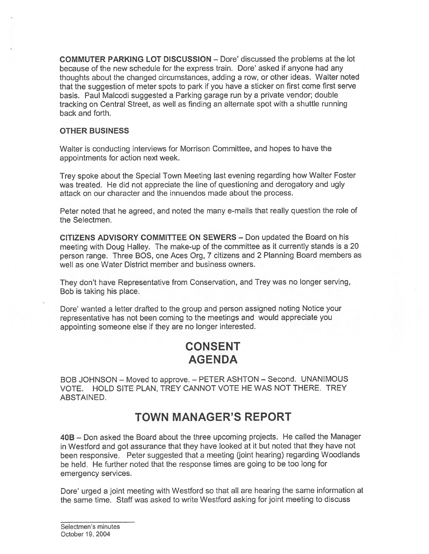COMMUTER PARKING LOT DISCUSSION — Dote' discussed the problems at the lot because of the new schedule for the express train. Dore' asked if anyone had any thoughts about the changed circumstances, adding <sup>a</sup> row, or other ideas. Walter noted that the suggestion of meter spots to park if you have <sup>a</sup> sticker on first come first serve basis. Paul Malcodi suggested <sup>a</sup> Parking garage run by <sup>a</sup> private vendor; double tracking on Central Street, as well as finding an alternate spo<sup>t</sup> with <sup>a</sup> shuttle running back and forth.

#### OTHER BUSINESS

Walter is conducting interviews for Morrison Committee, and hopes to have the appointments for action next week.

Trey spoke about the Special Town Meeting last evening regarding how Walter Foster was treated. He did not appreciate the line of questioning and derogatory and ugly attack on our character and the innuendos made about the process.

Peter noted that he agreed, and noted the many e-mails that really question the role of the Selectmen.

CITIZENS ADVISORY COMMITTEE ON SEWERS — Don updated the Board on his meeting with Doug Halley. The make-up of the committee as it currently stands is <sup>a</sup> <sup>20</sup> person range. Three BOS, one Aces Org, <sup>7</sup> citizens and <sup>2</sup> Planning Board members as well as one Water District member and business owners.

They don't have Representative from Conservation, and Trey was no longer serving, Bob is taking his place.

Dore' wanted <sup>a</sup> letter drafted to the group and person assigned noting Notice your representative has not been coming to the meetings and would appreciate you appointing someone else if they are no longer interested.

# CONSENT AGENDA

BOB JOHNSON — Moved to approve. — PETER ASHTON — Second. UNANIMOUS VOTE. HOLD SITE PLAN, TREY CANNOT VOTE HE WAS NOT THERE. TREY ABSTAINED.

## TOWN MANAGER'S REPORT

408 — Don asked the Board about the three upcoming projects. He called the Manager in Westford and go<sup>t</sup> assurance that they have looked at it but noted that they have not been responsive. Peter suggested that <sup>a</sup> meeting (joint hearing) regarding Woodlands be held. He further noted that the response times are going to be too long for emergency services.

Dore' urged <sup>a</sup> joint meeting with Westford so that all are hearing the same information at the same time. Staff was asked to write Wesiford asking for joint meeting to discuss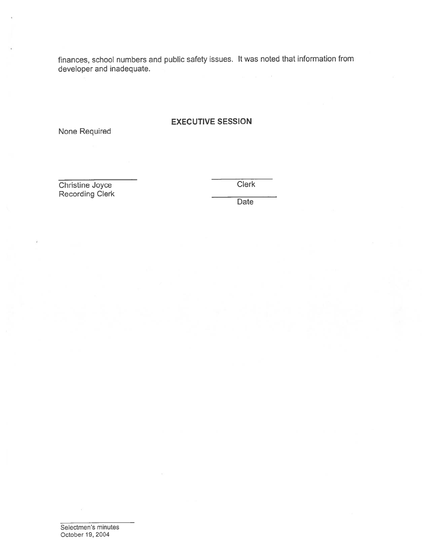finances, school numbers and public safety issues. It was noted that information from developer and inadequate.

#### EXECUTIVE SESSION

None Required

Christine Joyce Clerk recording Clement

Date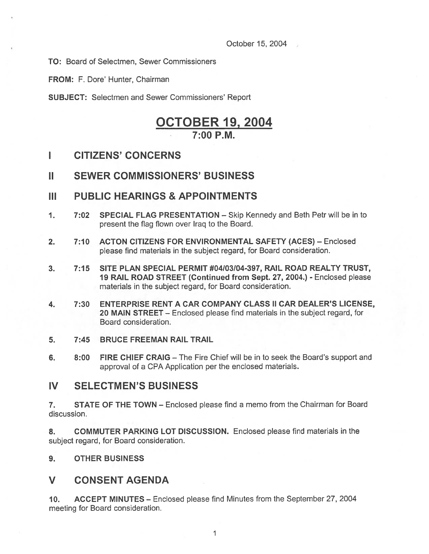October 15, 2004

TO: Board of Selectmen, Sewer Commissioners

FROM: F. Dore' Hunter, Chairman

SUBJECT: Selectmen and Sewer Commissioners' Report

## OCTOBER 19, 2004 7:00 P.M.

- I CITIZENS' CONCERNS
- II SEWER COMMISSIONERS' BUSINESS
- III PUBLIC HEARINGS & APPOINTMENTS
- 1. 7:02 SPECIAL FLAG PRESENTATION Skip Kennedy and Beth Petr will be in to presen<sup>t</sup> the flag flown over Iraq to the Board.
- 2. 7:10 ACTON CITIZENS FOR ENVIRONMENTAL SAFETY (ACES) Enclosed please find materials in the subject regard, for Board consideration.
- 3. 7:15 SITE PLAN SPECIAL PERMIT #04/03/04-397, RAIL ROAD REALTY TRUST, 19 RAIL ROAD STREET (Continued from Sept. 27, 2004.) - Enclosed please materials in the subject regard, for Board consideration.
- 4. 7:30 ENTERPRISE RENT A CAR COMPANY CLASS II CAR DEALER'S LICENSE, 20 MAIN STREET — Enclosed please find materials in the subject regard, for Board consideration.
- 5. 7:45 BRUCEFREEMANRAILTRAIL
- 6. 8:00 FIRE CHIEF CRAIG The Fire Chief will be in to seek the Board's suppor<sup>t</sup> and approval of <sup>a</sup> CPA Application per the enclosed materials.

## IV SELECTMEN'S BUSINESS

7. STATE OF THE TOWN — Enclosed please find <sup>a</sup> memo from the Chairman for Board discussion.

8. COMMUTER PARKING LOT DISCUSSION. Enclosed please find materials in the subject regard, for Board consideration.

9. OTHER BUSINESS

## V CONSENT AGENDA

10. ACCEPT MINUTES — Enclosed please find Minutes from the September 27, 2004 meeting for Board consideration.